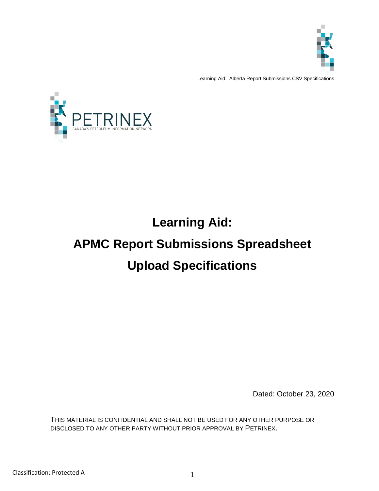



# **Learning Aid:**

# **APMC Report Submissions Spreadsheet**

# **Upload Specifications**

Dated: October 23, 2020

THIS MATERIAL IS CONFIDENTIAL AND SHALL NOT BE USED FOR ANY OTHER PURPOSE OR DISCLOSED TO ANY OTHER PARTY WITHOUT PRIOR APPROVAL BY PETRINEX.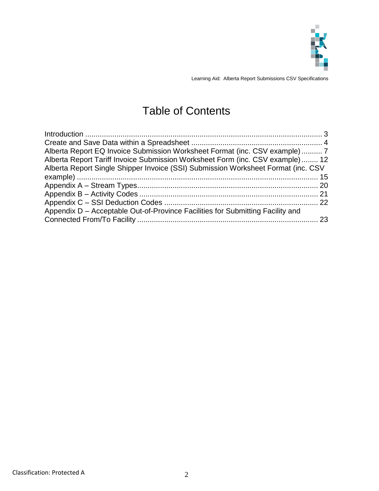

# Table of Contents

| Alberta Report EQ Invoice Submission Worksheet Format (inc. CSV example)7         |  |
|-----------------------------------------------------------------------------------|--|
| Alberta Report Tariff Invoice Submission Worksheet Form (inc. CSV example) 12     |  |
| Alberta Report Single Shipper Invoice (SSI) Submission Worksheet Format (inc. CSV |  |
|                                                                                   |  |
|                                                                                   |  |
|                                                                                   |  |
|                                                                                   |  |
| Appendix D – Acceptable Out-of-Province Facilities for Submitting Facility and    |  |
|                                                                                   |  |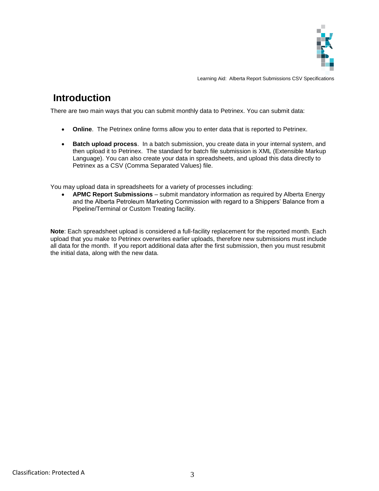

#### **Introduction**

There are two main ways that you can submit monthly data to Petrinex. You can submit data:

- **Online**. The Petrinex online forms allow you to enter data that is reported to Petrinex.
- **Batch upload process**. In a batch submission, you create data in your internal system, and then upload it to Petrinex. The standard for batch file submission is XML (Extensible Markup Language). You can also create your data in spreadsheets, and upload this data directly to Petrinex as a CSV (Comma Separated Values) file.

You may upload data in spreadsheets for a variety of processes including:

 **APMC Report Submissions** – submit mandatory information as required by Alberta Energy and the Alberta Petroleum Marketing Commission with regard to a Shippers' Balance from a Pipeline/Terminal or Custom Treating facility.

**Note**: Each spreadsheet upload is considered a full-facility replacement for the reported month. Each upload that you make to Petrinex overwrites earlier uploads, therefore new submissions must include all data for the month. If you report additional data after the first submission, then you must resubmit the initial data, along with the new data.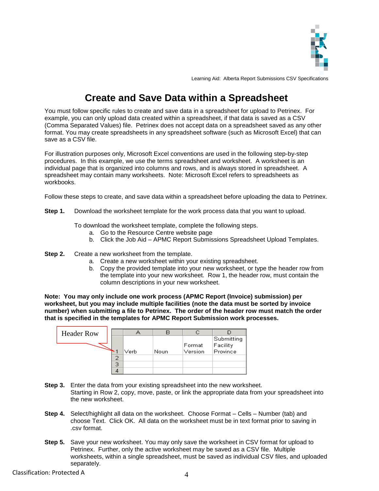

#### **Create and Save Data within a Spreadsheet**

You must follow specific rules to create and save data in a spreadsheet for upload to Petrinex. For example, you can only upload data created within a spreadsheet, if that data is saved as a CSV (Comma Separated Values) file. Petrinex does not accept data on a spreadsheet saved as any other format. You may create spreadsheets in any spreadsheet software (such as Microsoft Excel) that can save as a CSV file.

For illustration purposes only, Microsoft Excel conventions are used in the following step-by-step procedures. In this example, we use the terms spreadsheet and worksheet. A worksheet is an individual page that is organized into columns and rows, and is always stored in spreadsheet. A spreadsheet may contain many worksheets. Note: Microsoft Excel refers to spreadsheets as workbooks.

Follow these steps to create, and save data within a spreadsheet before uploading the data to Petrinex.

- **Step 1.** Download the worksheet template for the work process data that you want to upload.
	- To download the worksheet template, complete the following steps.
		- a. Go to the Resource Centre website page
		- b. Click the Job Aid APMC Report Submissions Spreadsheet Upload Templates.
- **Step 2.** Create a new worksheet from the template.
	- a. Create a new worksheet within your existing spreadsheet.
	- b. Copy the provided template into your new worksheet, or type the header row from the template into your new worksheet. Row 1, the header row, must contain the column descriptions in your new worksheet.

**Note: You may only include one work process (APMC Report (Invoice) submission) per worksheet, but you may include multiple facilities (note the data must be sorted by invoice number) when submitting a file to Petrinex. The order of the header row must match the order that is specified in the templates for APMC Report Submission work processes.**

|  | <b>Header Row</b> |   |      |      |         |            |
|--|-------------------|---|------|------|---------|------------|
|  |                   |   |      |      |         | Submitting |
|  |                   |   |      |      | ⊦Format | Facility   |
|  |                   |   | Verb | Noun | Version | Province   |
|  |                   | っ |      |      |         |            |
|  |                   | 3 |      |      |         |            |
|  |                   |   |      |      |         |            |

- **Step 3.** Enter the data from your existing spreadsheet into the new worksheet. Starting in Row 2, copy, move, paste, or link the appropriate data from your spreadsheet into the new worksheet.
- **Step 4.** Select/highlight all data on the worksheet. Choose Format Cells Number (tab) and choose Text. Click OK. All data on the worksheet must be in text format prior to saving in .csv format.
- **Step 5.** Save your new worksheet. You may only save the worksheet in CSV format for upload to Petrinex. Further, only the active worksheet may be saved as a CSV file. Multiple worksheets, within a single spreadsheet, must be saved as individual CSV files, and uploaded separately.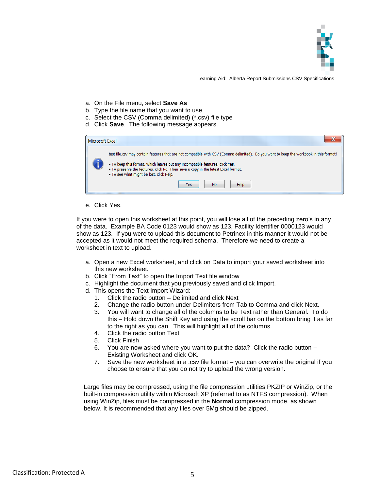

- a. On the File menu, select **Save As**
- b. Type the file name that you want to use
- c. Select the CSV (Comma delimited) (\*.csv) file type
- d. Click **Save**. The following message appears.

| <b>Microsoft Excel</b> |                                                                                                                                                                                                                                                                                                                                                            |
|------------------------|------------------------------------------------------------------------------------------------------------------------------------------------------------------------------------------------------------------------------------------------------------------------------------------------------------------------------------------------------------|
|                        | test file.csv may contain features that are not compatible with CSV (Comma delimited). Do you want to keep the workbook in this format?<br>. To keep this format, which leaves out any incompatible features, click Yes.<br>. To preserve the features, click No. Then save a copy in the latest Excel format.<br>. To see what might be lost, click Help. |
|                        | <b>No</b><br>Yes<br><b>Help</b>                                                                                                                                                                                                                                                                                                                            |

#### e. Click Yes.

If you were to open this worksheet at this point, you will lose all of the preceding zero's in any of the data. Example BA Code 0123 would show as 123, Facility Identifier 0000123 would show as 123. If you were to upload this document to Petrinex in this manner it would not be accepted as it would not meet the required schema. Therefore we need to create a worksheet in text to upload.

- a. Open a new Excel worksheet, and click on Data to import your saved worksheet into this new worksheet.
- b. Click "From Text" to open the Import Text file window
- c. Highlight the document that you previously saved and click Import.
- d. This opens the Text Import Wizard:
	- 1. Click the radio button Delimited and click Next
	- 2. Change the radio button under Delimiters from Tab to Comma and click Next.
	- 3. You will want to change all of the columns to be Text rather than General. To do this – Hold down the Shift Key and using the scroll bar on the bottom bring it as far to the right as you can. This will highlight all of the columns.
	- 4. Click the radio button Text
	- 5. Click Finish
	- 6. You are now asked where you want to put the data? Click the radio button Existing Worksheet and click OK.
	- 7. Save the new worksheet in a .csv file format you can overwrite the original if you choose to ensure that you do not try to upload the wrong version.

Large files may be compressed, using the file compression utilities PKZIP or WinZip, or the built-in compression utility within Microsoft XP (referred to as NTFS compression). When using WinZip, files must be compressed in the **Normal** compression mode, as shown below. It is recommended that any files over 5Mg should be zipped.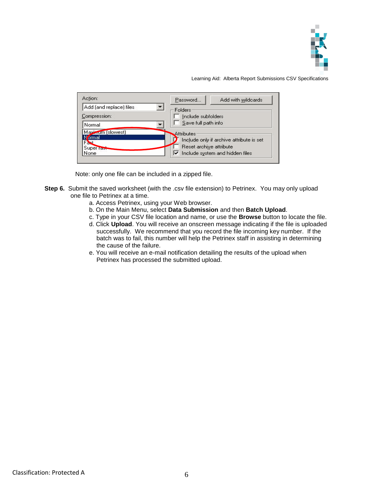



Note: only one file can be included in a zipped file.

- **Step 6.** Submit the saved worksheet (with the .csv file extension) to Petrinex. You may only upload one file to Petrinex at a time.
	- a. Access Petrinex, using your Web browser.
	- b. On the Main Menu, select **Data Submission** and then **Batch Upload**.
	- c. Type in your CSV file location and name, or use the **Browse** button to locate the file.
	- d. Click **Upload**. You will receive an onscreen message indicating if the file is uploaded successfully. We recommend that you record the file incoming key number. If the batch was to fail, this number will help the Petrinex staff in assisting in determining the cause of the failure.
	- e. You will receive an e-mail notification detailing the results of the upload when Petrinex has processed the submitted upload.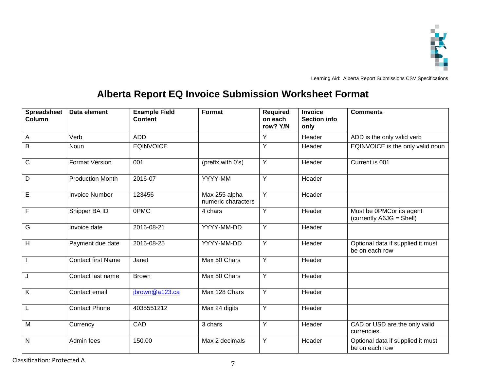

### **Alberta Report EQ Invoice Submission Worksheet Format**

| <b>Spreadsheet</b><br>Column | Data element              | <b>Example Field</b><br><b>Content</b> | <b>Format</b>                       | <b>Required</b><br>on each<br>row? Y/N | <b>Invoice</b><br><b>Section info</b><br>only | <b>Comments</b>                                      |
|------------------------------|---------------------------|----------------------------------------|-------------------------------------|----------------------------------------|-----------------------------------------------|------------------------------------------------------|
| A                            | Verb                      | <b>ADD</b>                             |                                     | Y                                      | Header                                        | ADD is the only valid verb                           |
| $\sf B$                      | Noun                      | <b>EQINVOICE</b>                       |                                     | Y                                      | Header                                        | EQINVOICE is the only valid noun                     |
| $\mathsf C$                  | <b>Format Version</b>     | 001                                    | (prefix with 0's)                   | Y                                      | Header                                        | Current is 001                                       |
| D                            | <b>Production Month</b>   | 2016-07                                | YYYY-MM                             | $\overline{Y}$                         | Header                                        |                                                      |
| $\mathsf E$                  | <b>Invoice Number</b>     | 123456                                 | Max 255 alpha<br>numeric characters | $\overline{Y}$                         | Header                                        |                                                      |
| $\mathsf{F}$                 | Shipper BA ID             | 0PMC                                   | 4 chars                             | Y                                      | Header                                        | Must be 0PMCor its agent<br>(currently A6JG = Shell) |
| G                            | Invoice date              | 2016-08-21                             | YYYY-MM-DD                          | Y                                      | Header                                        |                                                      |
| H                            | Payment due date          | 2016-08-25                             | YYYY-MM-DD                          | Y                                      | Header                                        | Optional data if supplied it must<br>be on each row  |
|                              | <b>Contact first Name</b> | Janet                                  | Max 50 Chars                        | Y                                      | Header                                        |                                                      |
| J                            | Contact last name         | <b>Brown</b>                           | Max 50 Chars                        | $\overline{Y}$                         | Header                                        |                                                      |
| $\overline{\mathsf{K}}$      | Contact email             | jbrown@a123.ca                         | Max 128 Chars                       | Y                                      | Header                                        |                                                      |
| L                            | <b>Contact Phone</b>      | 4035551212                             | Max 24 digits                       | $\overline{Y}$                         | Header                                        |                                                      |
| M                            | Currency                  | CAD                                    | 3 chars                             | Y                                      | Header                                        | CAD or USD are the only valid<br>currencies.         |
| $\mathsf{N}$                 | Admin fees                | 150.00                                 | Max 2 decimals                      | Y                                      | Header                                        | Optional data if supplied it must<br>be on each row  |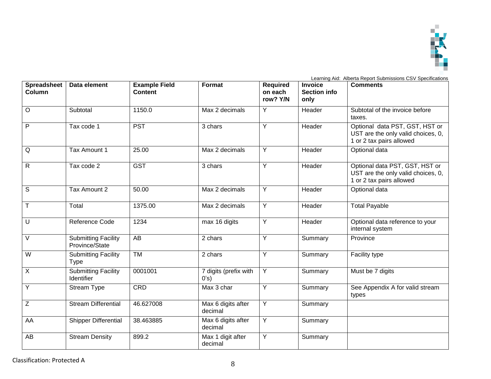

| <b>Spreadsheet</b><br>Column | Data element                                 | <b>Example Field</b><br><b>Content</b> | <b>Format</b>                 | <b>Required</b><br>on each<br>row? Y/N | Invoice<br><b>Section info</b><br>only | <b>Comments</b>                                                                                  |
|------------------------------|----------------------------------------------|----------------------------------------|-------------------------------|----------------------------------------|----------------------------------------|--------------------------------------------------------------------------------------------------|
| $\circ$                      | Subtotal                                     | 1150.0                                 | Max 2 decimals                | Υ                                      | Header                                 | Subtotal of the invoice before<br>taxes.                                                         |
| $\mathsf{P}$                 | Tax code 1                                   | <b>PST</b>                             | 3 chars                       | Y                                      | Header                                 | Optional data PST, GST, HST or<br>UST are the only valid choices, 0,<br>1 or 2 tax pairs allowed |
| Q                            | Tax Amount 1                                 | 25.00                                  | Max 2 decimals                | Y                                      | Header                                 | Optional data                                                                                    |
| $\mathsf{R}$                 | Tax code 2                                   | <b>GST</b>                             | 3 chars                       | Y                                      | Header                                 | Optional data PST, GST, HST or<br>UST are the only valid choices, 0,<br>1 or 2 tax pairs allowed |
| S                            | Tax Amount 2                                 | 50.00                                  | Max 2 decimals                | Y                                      | Header                                 | Optional data                                                                                    |
| $\mathsf{T}$                 | Total                                        | 1375.00                                | Max 2 decimals                | Y                                      | Header                                 | <b>Total Payable</b>                                                                             |
| U                            | Reference Code                               | 1234                                   | max 16 digits                 | Y                                      | Header                                 | Optional data reference to your<br>internal system                                               |
| $\vee$                       | <b>Submitting Facility</b><br>Province/State | AB                                     | 2 chars                       | Ÿ                                      | Summary                                | Province                                                                                         |
| W                            | <b>Submitting Facility</b><br><b>Type</b>    | <b>TM</b>                              | 2 chars                       | Y                                      | Summary                                | Facility type                                                                                    |
| $\overline{\mathsf{x}}$      | <b>Submitting Facility</b><br>Identifier     | 0001001                                | 7 digits (prefix with<br>0's) | Y                                      | Summary                                | Must be 7 digits                                                                                 |
| Y                            | Stream Type                                  | <b>CRD</b>                             | Max 3 char                    | Y                                      | Summary                                | See Appendix A for valid stream<br>types                                                         |
| $\overline{Z}$               | <b>Stream Differential</b>                   | 46.627008                              | Max 6 digits after<br>decimal | Y                                      | Summary                                |                                                                                                  |
| AA                           | <b>Shipper Differential</b>                  | 38.463885                              | Max 6 digits after<br>decimal | Y                                      | Summary                                |                                                                                                  |
| AB                           | <b>Stream Density</b>                        | 899.2                                  | Max 1 digit after<br>decimal  | Y                                      | Summary                                |                                                                                                  |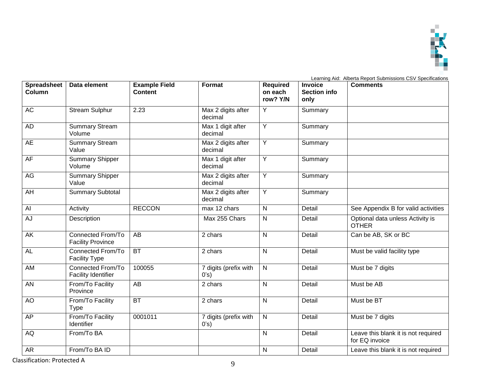

| <b>Spreadsheet</b><br>Column | Data element                                    | <b>Example Field</b><br><b>Content</b> | <b>Format</b>                 | <b>Required</b><br>on each<br>row? Y/N | Invoice<br><b>Section info</b><br>only | <b>Comments</b>                                       |
|------------------------------|-------------------------------------------------|----------------------------------------|-------------------------------|----------------------------------------|----------------------------------------|-------------------------------------------------------|
| AC                           | <b>Stream Sulphur</b>                           | 2.23                                   | Max 2 digits after<br>decimal | Y                                      | Summary                                |                                                       |
| AD                           | <b>Summary Stream</b><br>Volume                 |                                        | Max 1 digit after<br>decimal  | Υ                                      | Summary                                |                                                       |
| AE                           | <b>Summary Stream</b><br>Value                  |                                        | Max 2 digits after<br>decimal | Y                                      | Summary                                |                                                       |
| AF                           | <b>Summary Shipper</b><br>Volume                |                                        | Max 1 digit after<br>decimal  | Y                                      | Summary                                |                                                       |
| AG                           | <b>Summary Shipper</b><br>Value                 |                                        | Max 2 digits after<br>decimal | Y                                      | Summary                                |                                                       |
| AH                           | <b>Summary Subtotal</b>                         |                                        | Max 2 digits after<br>decimal | Y                                      | Summary                                |                                                       |
| AI                           | Activity                                        | <b>RECCON</b>                          | max 12 chars                  | $\mathsf{N}$                           | Detail                                 | See Appendix B for valid activities                   |
| AJ                           | Description                                     |                                        | Max 255 Chars                 | N                                      | Detail                                 | Optional data unless Activity is<br><b>OTHER</b>      |
| AK                           | Connected From/To<br><b>Facility Province</b>   | AB                                     | 2 chars                       | N                                      | Detail                                 | Can be AB, SK or BC                                   |
| <b>AL</b>                    | Connected From/To<br><b>Facility Type</b>       | <b>BT</b>                              | 2 chars                       | $\mathsf{N}$                           | Detail                                 | Must be valid facility type                           |
| AM                           | Connected From/To<br><b>Facility Identifier</b> | 100055                                 | 7 digits (prefix with<br>0's) | $\overline{N}$                         | Detail                                 | Must be 7 digits                                      |
| AN                           | From/To Facility<br>Province                    | AB                                     | 2 chars                       | $\mathsf{N}$                           | Detail                                 | Must be AB                                            |
| AO                           | From/To Facility<br><b>Type</b>                 | BT                                     | 2 chars                       | N                                      | Detail                                 | Must be BT                                            |
| AP                           | From/To Facility<br>Identifier                  | 0001011                                | 7 digits (prefix with<br>0's) | $\mathsf{N}$                           | Detail                                 | Must be 7 digits                                      |
| AQ                           | From/To BA                                      |                                        |                               | $\mathsf{N}$                           | Detail                                 | Leave this blank it is not required<br>for EQ invoice |
| <b>AR</b>                    | From/To BA ID                                   |                                        |                               | $\mathsf{N}$                           | Detail                                 | Leave this blank it is not required                   |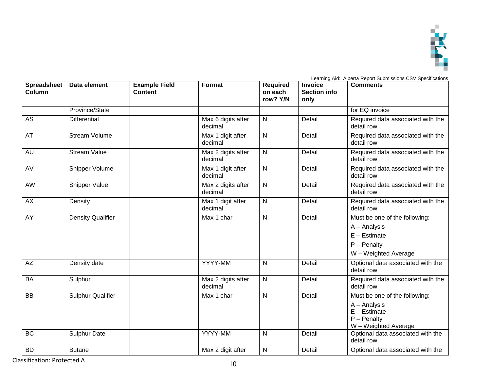

| <b>Spreadsheet</b><br>Column | Data element             | <b>Example Field</b><br><b>Content</b> | <b>Format</b>                 | <b>Required</b><br>on each<br>row? Y/N | <b>Invoice</b><br><b>Section info</b><br>only | <b>Comments</b>                                                         |
|------------------------------|--------------------------|----------------------------------------|-------------------------------|----------------------------------------|-----------------------------------------------|-------------------------------------------------------------------------|
|                              | Province/State           |                                        |                               |                                        |                                               | for EQ invoice                                                          |
| AS                           | Differential             |                                        | Max 6 digits after<br>decimal | $\mathsf{N}$                           | Detail                                        | Required data associated with the<br>detail row                         |
| AT                           | <b>Stream Volume</b>     |                                        | Max 1 digit after<br>decimal  | $\mathsf{N}$                           | Detail                                        | Required data associated with the<br>detail row                         |
| <b>AU</b>                    | <b>Stream Value</b>      |                                        | Max 2 digits after<br>decimal | $\mathsf{N}$                           | Detail                                        | Required data associated with the<br>detail row                         |
| AV                           | Shipper Volume           |                                        | Max 1 digit after<br>decimal  | $\overline{\mathsf{N}}$                | Detail                                        | Required data associated with the<br>detail row                         |
| AW                           | Shipper Value            |                                        | Max 2 digits after<br>decimal | $\mathsf{N}$                           | Detail                                        | Required data associated with the<br>detail row                         |
| <b>AX</b>                    | Density                  |                                        | Max 1 digit after<br>decimal  | $\mathsf{N}$                           | Detail                                        | Required data associated with the<br>detail row                         |
| AY                           | <b>Density Qualifier</b> |                                        | Max 1 char                    | N                                      | Detail                                        | Must be one of the following:                                           |
|                              |                          |                                        |                               |                                        |                                               | A - Analysis                                                            |
|                              |                          |                                        |                               |                                        |                                               | $E -$ Estimate                                                          |
|                              |                          |                                        |                               |                                        |                                               | $P - Penalty$                                                           |
|                              |                          |                                        |                               |                                        |                                               | W - Weighted Average                                                    |
| AZ                           | Density date             |                                        | YYYY-MM                       | N                                      | Detail                                        | Optional data associated with the<br>detail row                         |
| <b>BA</b>                    | Sulphur                  |                                        | Max 2 digits after<br>decimal | N                                      | Detail                                        | Required data associated with the<br>detail row                         |
| <b>BB</b>                    | <b>Sulphur Qualifier</b> |                                        | Max 1 char                    | $\overline{N}$                         | Detail                                        | Must be one of the following:                                           |
|                              |                          |                                        |                               |                                        |                                               | A - Analysis<br>$E -$ Estimate<br>$P - Penalty$<br>W - Weighted Average |
| <b>BC</b>                    | <b>Sulphur Date</b>      |                                        | YYYY-MM                       | N                                      | Detail                                        | Optional data associated with the<br>detail row                         |
| <b>BD</b>                    | <b>Butane</b>            |                                        | Max 2 digit after             | $\mathsf{N}$                           | Detail                                        | Optional data associated with the                                       |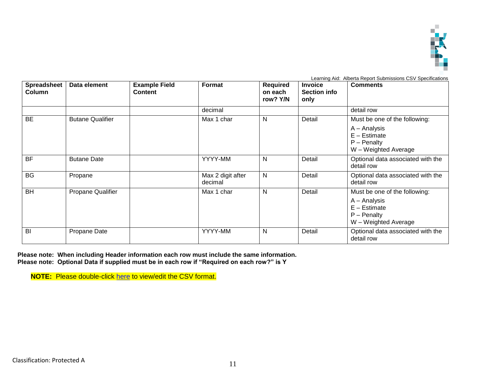

| Spreadsheet<br><b>Column</b> | Data element             | <b>Example Field</b><br><b>Content</b> | Format                       | <b>Required</b><br>on each<br>row? Y/N | <b>Invoice</b><br><b>Section info</b><br>only | <b>Comments</b>                                                                                          |
|------------------------------|--------------------------|----------------------------------------|------------------------------|----------------------------------------|-----------------------------------------------|----------------------------------------------------------------------------------------------------------|
|                              |                          |                                        | decimal                      |                                        |                                               | detail row                                                                                               |
| <b>BE</b>                    | <b>Butane Qualifier</b>  |                                        | Max 1 char                   | N                                      | Detail                                        | Must be one of the following:<br>A - Analysis<br>$E -$ Estimate<br>$P - Penalty$<br>W - Weighted Average |
| <b>BF</b>                    | <b>Butane Date</b>       |                                        | YYYY-MM                      | N                                      | Detail                                        | Optional data associated with the<br>detail row                                                          |
| <b>BG</b>                    | Propane                  |                                        | Max 2 digit after<br>decimal | N                                      | Detail                                        | Optional data associated with the<br>detail row                                                          |
| <b>BH</b>                    | <b>Propane Qualifier</b> |                                        | Max 1 char                   | N                                      | Detail                                        | Must be one of the following:<br>A - Analysis<br>$E -$ Estimate<br>$P - Penalty$<br>W - Weighted Average |
| BI                           | Propane Date             |                                        | YYYY-MM                      | N                                      | Detail                                        | Optional data associated with the<br>detail row                                                          |

**Please note: When including Header information each row must include the same information. Please note: Optional Data if supplied must be in each row if "Required on each row?" is Y**

**NOTE:** Please double-click [here](https://www.petrinex.ca/LC/Documents/EQ_CSV_Example.xlsx) to view/edit the CSV format.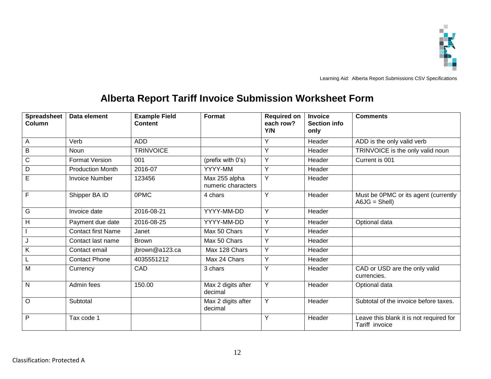

### **Alberta Report Tariff Invoice Submission Worksheet Form**

| <b>Spreadsheet</b><br>Column | Data element              | <b>Example Field</b><br><b>Content</b> | Format                              | <b>Required on</b><br>each row?<br>Y/N | <b>Invoice</b><br><b>Section info</b><br>only | <b>Comments</b>                                           |
|------------------------------|---------------------------|----------------------------------------|-------------------------------------|----------------------------------------|-----------------------------------------------|-----------------------------------------------------------|
| A                            | Verb                      | <b>ADD</b>                             |                                     | Υ                                      | Header                                        | ADD is the only valid verb                                |
| B                            | <b>Noun</b>               | <b>TRINVOICE</b>                       |                                     | Y                                      | Header                                        | TRINVOICE is the only valid noun                          |
| C                            | <b>Format Version</b>     | 001                                    | (prefix with 0's)                   | Y                                      | Header                                        | Current is 001                                            |
| D                            | <b>Production Month</b>   | 2016-07                                | YYYY-MM                             | Y                                      | Header                                        |                                                           |
| E                            | <b>Invoice Number</b>     | 123456                                 | Max 255 alpha<br>numeric characters | Y                                      | Header                                        |                                                           |
| F                            | Shipper BA ID             | 0PMC                                   | 4 chars                             | Y                                      | Header                                        | Must be 0PMC or its agent (currently<br>$A6JG = Shell)$   |
| G                            | Invoice date              | 2016-08-21                             | YYYY-MM-DD                          | Y                                      | Header                                        |                                                           |
| Н                            | Payment due date          | 2016-08-25                             | YYYY-MM-DD                          | Y                                      | Header                                        | Optional data                                             |
|                              | <b>Contact first Name</b> | Janet                                  | Max 50 Chars                        | Y                                      | Header                                        |                                                           |
| J                            | Contact last name         | <b>Brown</b>                           | Max 50 Chars                        | Y                                      | Header                                        |                                                           |
| Κ                            | Contact email             | jbrown@a123.ca                         | Max 128 Chars                       | Y                                      | Header                                        |                                                           |
|                              | <b>Contact Phone</b>      | 4035551212                             | Max 24 Chars                        | Y                                      | Header                                        |                                                           |
| M                            | Currency                  | CAD                                    | 3 chars                             | Y                                      | Header                                        | CAD or USD are the only valid<br>currencies.              |
| N                            | Admin fees                | 150.00                                 | Max 2 digits after<br>decimal       | Y                                      | Header                                        | Optional data                                             |
| $\circ$                      | Subtotal                  |                                        | Max 2 digits after<br>decimal       | Y                                      | Header                                        | Subtotal of the invoice before taxes.                     |
| P                            | Tax code 1                |                                        |                                     | Y                                      | Header                                        | Leave this blank it is not required for<br>Tariff invoice |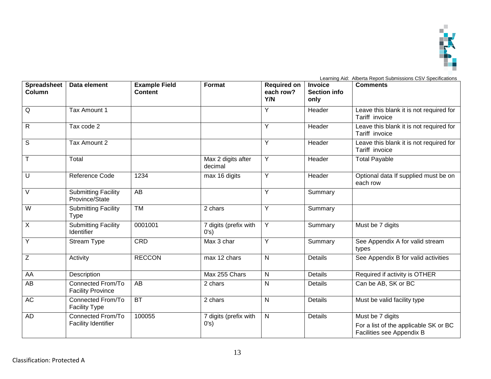

| <b>Spreadsheet</b><br>Column | Data element                                    | <b>Example Field</b><br><b>Content</b> | Format                        | <b>Required on</b><br>each row?<br>Y/N | <b>Invoice</b><br><b>Section info</b><br>only | <b>Comments</b>                                                                        |
|------------------------------|-------------------------------------------------|----------------------------------------|-------------------------------|----------------------------------------|-----------------------------------------------|----------------------------------------------------------------------------------------|
| Q                            | Tax Amount 1                                    |                                        |                               | Y                                      | Header                                        | Leave this blank it is not required for<br>Tariff invoice                              |
| $\mathsf{R}$                 | Tax code 2                                      |                                        |                               | Y                                      | Header                                        | Leave this blank it is not required for<br>Tariff invoice                              |
| S                            | Tax Amount 2                                    |                                        |                               | Y                                      | Header                                        | Leave this blank it is not required for<br>Tariff invoice                              |
| $\overline{\mathsf{T}}$      | Total                                           |                                        | Max 2 digits after<br>decimal | Y                                      | Header                                        | <b>Total Payable</b>                                                                   |
| U                            | Reference Code                                  | 1234                                   | max 16 digits                 | $\overline{Y}$                         | Header                                        | Optional data If supplied must be on<br>each row                                       |
| $\vee$                       | <b>Submitting Facility</b><br>Province/State    | AB                                     |                               | Υ                                      | Summary                                       |                                                                                        |
| $\overline{W}$               | <b>Submitting Facility</b><br>Type              | T M                                    | 2 chars                       | Y                                      | Summary                                       |                                                                                        |
| X                            | <b>Submitting Facility</b><br><b>Identifier</b> | 0001001                                | 7 digits (prefix with<br>0's  | Y                                      | Summary                                       | Must be 7 digits                                                                       |
| Y                            | Stream Type                                     | CRD                                    | Max 3 char                    | Y                                      | Summary                                       | See Appendix A for valid stream<br>types                                               |
| Z                            | Activity                                        | <b>RECCON</b>                          | max 12 chars                  | N                                      | <b>Details</b>                                | See Appendix B for valid activities                                                    |
| AA                           | Description                                     |                                        | Max 255 Chars                 | $\mathsf{N}$                           | Details                                       | Required if activity is OTHER                                                          |
| AB                           | Connected From/To<br><b>Facility Province</b>   | AB                                     | 2 chars                       | N                                      | Details                                       | Can be AB, SK or BC                                                                    |
| AC                           | Connected From/To<br><b>Facility Type</b>       | BT                                     | 2 chars                       | $\mathsf{N}$                           | <b>Details</b>                                | Must be valid facility type                                                            |
| AD                           | Connected From/To<br><b>Facility Identifier</b> | 100055                                 | 7 digits (prefix with<br>0's) | N                                      | Details                                       | Must be 7 digits<br>For a list of the applicable SK or BC<br>Facilities see Appendix B |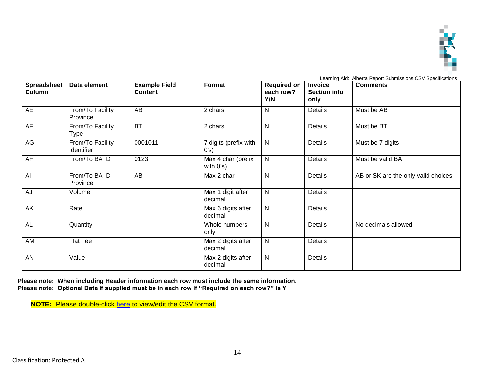

| <b>Spreadsheet</b><br>Column | Data element                    | <b>Example Field</b><br><b>Content</b> | Format                             | <b>Required on</b><br>each row?<br>Y/N | <b>Invoice</b><br><b>Section info</b><br>only | <b>Comments</b>                     |
|------------------------------|---------------------------------|----------------------------------------|------------------------------------|----------------------------------------|-----------------------------------------------|-------------------------------------|
| <b>AE</b>                    | From/To Facility<br>Province    | AB                                     | 2 chars                            | N                                      | Details                                       | Must be AB                          |
| AF                           | From/To Facility<br><b>Type</b> | <b>BT</b>                              | 2 chars                            | $\mathsf{N}$                           | Details                                       | Must be BT                          |
| AG                           | From/To Facility<br>Identifier  | 0001011                                | 7 digits (prefix with<br>0's)      | $\mathsf{N}$                           | Details                                       | Must be 7 digits                    |
| AH                           | From/To BA ID                   | 0123                                   | Max 4 char (prefix<br>with $0's$ ) | $\mathsf{N}$                           | Details                                       | Must be valid BA                    |
| AI                           | From/To BA ID<br>Province       | AB                                     | Max 2 char                         | $\mathsf{N}$                           | Details                                       | AB or SK are the only valid choices |
| AJ                           | Volume                          |                                        | Max 1 digit after<br>decimal       | $\mathsf{N}$                           | <b>Details</b>                                |                                     |
| AK                           | Rate                            |                                        | Max 6 digits after<br>decimal      | $\mathsf{N}$                           | Details                                       |                                     |
| <b>AL</b>                    | Quantity                        |                                        | Whole numbers<br>only              | $\mathsf{N}$                           | Details                                       | No decimals allowed                 |
| AM                           | Flat Fee                        |                                        | Max 2 digits after<br>decimal      | $\mathsf{N}$                           | Details                                       |                                     |
| AN                           | Value                           |                                        | Max 2 digits after<br>decimal      | $\mathsf{N}$                           | Details                                       |                                     |

**Please note: When including Header information each row must include the same information. Please note: Optional Data if supplied must be in each row if "Required on each row?" is Y**

**NOTE:** Please double-click [here](https://www.petrinex.ca/LC/Documents/TRF_CSV_Example.xlsx) to view/edit the CSV format.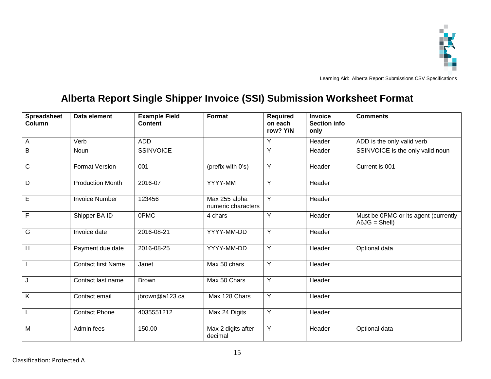

### **Alberta Report Single Shipper Invoice (SSI) Submission Worksheet Format**

| <b>Spreadsheet</b><br>Column | Data element              | <b>Example Field</b><br><b>Content</b> | Format                              | <b>Required</b><br>on each<br>row? Y/N | <b>Invoice</b><br><b>Section info</b><br>only | <b>Comments</b>                                         |
|------------------------------|---------------------------|----------------------------------------|-------------------------------------|----------------------------------------|-----------------------------------------------|---------------------------------------------------------|
| A                            | Verb                      | <b>ADD</b>                             |                                     | Y                                      | Header                                        | ADD is the only valid verb                              |
| $\sf B$                      | Noun                      | <b>SSINVOICE</b>                       |                                     | Y                                      | Header                                        | SSINVOICE is the only valid noun                        |
| $\mathbf C$                  | <b>Format Version</b>     | 001                                    | (prefix with 0's)                   | Y                                      | Header                                        | Current is 001                                          |
| D                            | <b>Production Month</b>   | 2016-07                                | YYYY-MM                             | Y                                      | Header                                        |                                                         |
| E                            | <b>Invoice Number</b>     | 123456                                 | Max 255 alpha<br>numeric characters | Y                                      | Header                                        |                                                         |
| F                            | Shipper BA ID             | 0PMC                                   | 4 chars                             | Y                                      | Header                                        | Must be 0PMC or its agent (currently<br>$A6JG = Shell)$ |
| G                            | Invoice date              | 2016-08-21                             | YYYY-MM-DD                          | Y                                      | Header                                        |                                                         |
| H                            | Payment due date          | 2016-08-25                             | YYYY-MM-DD                          | Y                                      | Header                                        | Optional data                                           |
|                              | <b>Contact first Name</b> | Janet                                  | Max 50 chars                        | Y                                      | Header                                        |                                                         |
| J                            | Contact last name         | <b>Brown</b>                           | Max 50 Chars                        | Y                                      | Header                                        |                                                         |
| K                            | Contact email             | jbrown@a123.ca                         | Max 128 Chars                       | Y                                      | Header                                        |                                                         |
| L                            | <b>Contact Phone</b>      | 4035551212                             | Max 24 Digits                       | $\overline{Y}$                         | Header                                        |                                                         |
| M                            | Admin fees                | 150.00                                 | Max 2 digits after<br>decimal       | Y                                      | Header                                        | Optional data                                           |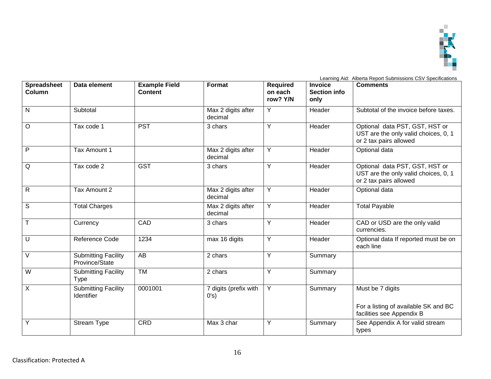

| <b>Spreadsheet</b><br><b>Column</b> | Data element                             | <b>Example Field</b><br><b>Content</b> | Format                        | <b>Required</b><br>on each<br>row? Y/N | <b>Invoice</b><br><b>Section info</b><br>only | <b>Comments</b>                                                                                  |
|-------------------------------------|------------------------------------------|----------------------------------------|-------------------------------|----------------------------------------|-----------------------------------------------|--------------------------------------------------------------------------------------------------|
| $\mathsf{N}$                        | Subtotal                                 |                                        | Max 2 digits after<br>decimal | $\overline{Y}$                         | Header                                        | Subtotal of the invoice before taxes.                                                            |
| $\circ$                             | Tax code 1                               | <b>PST</b>                             | 3 chars                       | Y                                      | Header                                        | Optional data PST, GST, HST or<br>UST are the only valid choices, 0, 1<br>or 2 tax pairs allowed |
| $\mathsf{P}$                        | Tax Amount 1                             |                                        | Max 2 digits after<br>decimal | Y                                      | Header                                        | Optional data                                                                                    |
| Q                                   | Tax code 2                               | <b>GST</b>                             | 3 chars                       | Y                                      | Header                                        | Optional data PST, GST, HST or<br>UST are the only valid choices, 0, 1<br>or 2 tax pairs allowed |
| $\mathsf{R}$                        | Tax Amount 2                             |                                        | Max 2 digits after<br>decimal | Y                                      | Header                                        | Optional data                                                                                    |
| S                                   | <b>Total Charges</b>                     |                                        | Max 2 digits after<br>decimal | Y                                      | Header                                        | <b>Total Payable</b>                                                                             |
| T                                   | Currency                                 | CAD                                    | 3 chars                       | Y                                      | Header                                        | CAD or USD are the only valid<br>currencies.                                                     |
| U                                   | Reference Code                           | 1234                                   | max 16 digits                 | Y                                      | Header                                        | Optional data If reported must be on<br>each line                                                |
| $\vee$                              | Submitting Facility<br>Province/State    | $\overline{AB}$                        | 2 chars                       | Ÿ                                      | Summary                                       |                                                                                                  |
| W                                   | <b>Submitting Facility</b><br>Type       | <b>TM</b>                              | 2 chars                       | Y                                      | Summary                                       |                                                                                                  |
| X                                   | <b>Submitting Facility</b><br>Identifier | 0001001                                | 7 digits (prefix with<br>0's) | Y                                      | Summary                                       | Must be 7 digits<br>For a listing of available SK and BC<br>facilities see Appendix B            |
| Y                                   | Stream Type                              | <b>CRD</b>                             | Max 3 char                    | Y                                      | Summary                                       | See Appendix A for valid stream<br>types                                                         |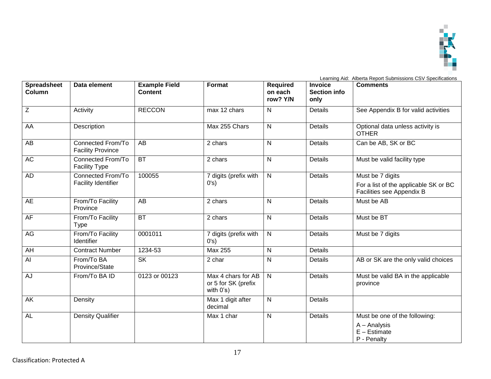

| <b>Spreadsheet</b><br>Column | Data element                                  | <b>Example Field</b><br><b>Content</b> | Format                                                    | <b>Required</b><br>on each<br>row? Y/N | <b>Invoice</b><br><b>Section info</b><br>only | <b>Comments</b>                                                                |
|------------------------------|-----------------------------------------------|----------------------------------------|-----------------------------------------------------------|----------------------------------------|-----------------------------------------------|--------------------------------------------------------------------------------|
| Z                            | Activity                                      | <b>RECCON</b>                          | max 12 chars                                              | ${\sf N}$                              | Details                                       | See Appendix B for valid activities                                            |
| AA                           | Description                                   |                                        | Max 255 Chars                                             | $\mathsf{N}$                           | Details                                       | Optional data unless activity is<br><b>OTHER</b>                               |
| AB                           | Connected From/To<br><b>Facility Province</b> | AB                                     | 2 chars                                                   | $\mathsf{N}$                           | <b>Details</b>                                | Can be AB, SK or BC                                                            |
| <b>AC</b>                    | Connected From/To<br><b>Facility Type</b>     | <b>BT</b>                              | 2 chars                                                   | $\mathsf{N}$                           | Details                                       | Must be valid facility type                                                    |
| <b>AD</b>                    | Connected From/To                             | 100055                                 | 7 digits (prefix with                                     | $\mathsf{N}$                           | <b>Details</b>                                | Must be 7 digits                                                               |
|                              | <b>Facility Identifier</b>                    |                                        | 0's)                                                      |                                        |                                               | For a list of the applicable SK or BC<br>Facilities see Appendix B             |
| AE                           | From/To Facility<br>Province                  | AB                                     | 2 chars                                                   | N                                      | Details                                       | Must be AB                                                                     |
| <b>AF</b>                    | From/To Facility<br><b>Type</b>               | BT                                     | 2 chars                                                   | $\mathsf{N}$                           | <b>Details</b>                                | Must be BT                                                                     |
| AG                           | From/To Facility<br>Identifier                | 0001011                                | 7 digits (prefix with<br>0's)                             | $\mathsf{N}$                           | <b>Details</b>                                | Must be 7 digits                                                               |
| AH                           | <b>Contract Number</b>                        | 1234-53                                | Max 255                                                   | $\mathsf{N}$                           | <b>Details</b>                                |                                                                                |
| $\overline{AI}$              | From/To BA<br>Province/State                  | $\overline{\mathsf{SK}}$               | 2 char                                                    | $\overline{N}$                         | Details                                       | AB or SK are the only valid choices                                            |
| AJ                           | From/To BA ID                                 | 0123 or 00123                          | Max 4 chars for AB<br>or 5 for SK (prefix<br>with $0's$ ) | $\mathsf{N}$                           | Details                                       | Must be valid BA in the applicable<br>province                                 |
| AK                           | Density                                       |                                        | Max 1 digit after<br>decimal                              | ${\sf N}$                              | Details                                       |                                                                                |
| <b>AL</b>                    | <b>Density Qualifier</b>                      |                                        | Max 1 char                                                | $\mathsf{N}$                           | Details                                       | Must be one of the following:<br>A - Analysis<br>$E -$ Estimate<br>P - Penalty |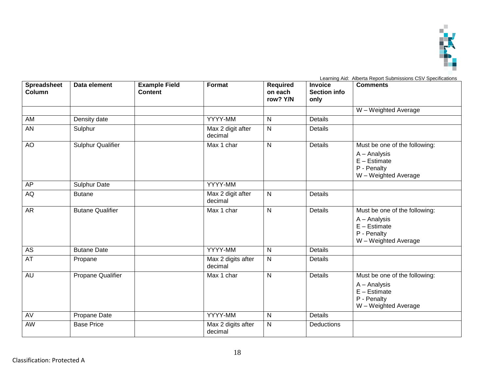

| <b>Spreadsheet</b><br>Column | Data element             | <b>Example Field</b><br><b>Content</b> | Format                        | <b>Required</b><br>on each<br>row? Y/N | <b>Invoice</b><br><b>Section info</b><br>only | <b>Comments</b>                                                                                        |
|------------------------------|--------------------------|----------------------------------------|-------------------------------|----------------------------------------|-----------------------------------------------|--------------------------------------------------------------------------------------------------------|
|                              |                          |                                        |                               |                                        |                                               | W - Weighted Average                                                                                   |
| AM                           | Density date             |                                        | YYYY-MM                       | $\overline{\mathsf{N}}$                | Details                                       |                                                                                                        |
| AN                           | Sulphur                  |                                        | Max 2 digit after<br>decimal  | $\mathsf{N}$                           | <b>Details</b>                                |                                                                                                        |
| <b>AO</b>                    | <b>Sulphur Qualifier</b> |                                        | Max 1 char                    | ${\sf N}$                              | Details                                       | Must be one of the following:<br>A - Analysis<br>$E -$ Estimate<br>P - Penalty<br>W - Weighted Average |
| AP                           | <b>Sulphur Date</b>      |                                        | YYYY-MM                       |                                        |                                               |                                                                                                        |
| AQ                           | <b>Butane</b>            |                                        | Max 2 digit after<br>decimal  | $\mathsf{N}$                           | <b>Details</b>                                |                                                                                                        |
| <b>AR</b>                    | <b>Butane Qualifier</b>  |                                        | Max 1 char                    | $\mathsf{N}$                           | <b>Details</b>                                | Must be one of the following:<br>A - Analysis<br>$E -$ Estimate<br>P - Penalty<br>W - Weighted Average |
| <b>AS</b>                    | <b>Butane Date</b>       |                                        | YYYY-MM                       | $\overline{\mathsf{N}}$                | <b>Details</b>                                |                                                                                                        |
| AT                           | Propane                  |                                        | Max 2 digits after<br>decimal | $\overline{\mathsf{N}}$                | <b>Details</b>                                |                                                                                                        |
| AU                           | Propane Qualifier        |                                        | Max 1 char                    | $\mathsf{N}$                           | <b>Details</b>                                | Must be one of the following:<br>A - Analysis<br>$E -$ Estimate<br>P - Penalty<br>W - Weighted Average |
| AV                           | Propane Date             |                                        | YYYY-MM                       | $\mathsf{N}$                           | <b>Details</b>                                |                                                                                                        |
| AW                           | <b>Base Price</b>        |                                        | Max 2 digits after<br>decimal | $\mathsf{N}$                           | Deductions                                    |                                                                                                        |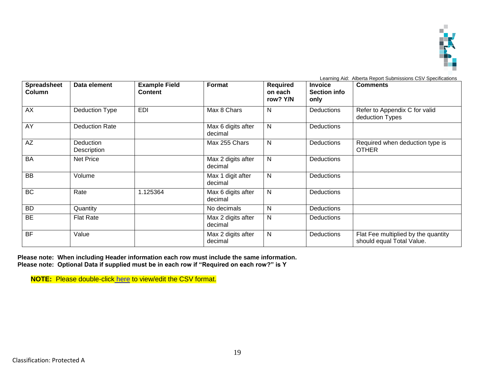

| <b>Spreadsheet</b><br>Column | Data element                    | <b>Example Field</b><br><b>Content</b> | <b>Format</b>                 | <b>Required</b><br>on each<br>row? Y/N | <b>Invoice</b><br><b>Section info</b><br>only | <b>Comments</b>                                                  |
|------------------------------|---------------------------------|----------------------------------------|-------------------------------|----------------------------------------|-----------------------------------------------|------------------------------------------------------------------|
| AX                           | <b>Deduction Type</b>           | <b>EDI</b>                             | Max 8 Chars                   | Ν                                      | Deductions                                    | Refer to Appendix C for valid<br>deduction Types                 |
| AY                           | <b>Deduction Rate</b>           |                                        | Max 6 digits after<br>decimal | N                                      | Deductions                                    |                                                                  |
| AZ                           | <b>Deduction</b><br>Description |                                        | Max 255 Chars                 | N                                      | Deductions                                    | Required when deduction type is<br><b>OTHER</b>                  |
| <b>BA</b>                    | Net Price                       |                                        | Max 2 digits after<br>decimal | N                                      | <b>Deductions</b>                             |                                                                  |
| <b>BB</b>                    | Volume                          |                                        | Max 1 digit after<br>decimal  | N                                      | <b>Deductions</b>                             |                                                                  |
| <b>BC</b>                    | Rate                            | 1.125364                               | Max 6 digits after<br>decimal | N                                      | Deductions                                    |                                                                  |
| <b>BD</b>                    | Quantity                        |                                        | No decimals                   | N                                      | Deductions                                    |                                                                  |
| <b>BE</b>                    | <b>Flat Rate</b>                |                                        | Max 2 digits after<br>decimal | N                                      | <b>Deductions</b>                             |                                                                  |
| <b>BF</b>                    | Value                           |                                        | Max 2 digits after<br>decimal | N                                      | <b>Deductions</b>                             | Flat Fee multiplied by the quantity<br>should equal Total Value. |

**Please note: When including Header information each row must include the same information. Please note: Optional Data if supplied must be in each row if "Required on each row?" is Y**

**NOTE:** Please double-click [here](https://www.petrinex.ca/LC/Documents/SSI_CVS_Example.xlsx) to view/edit the CSV format.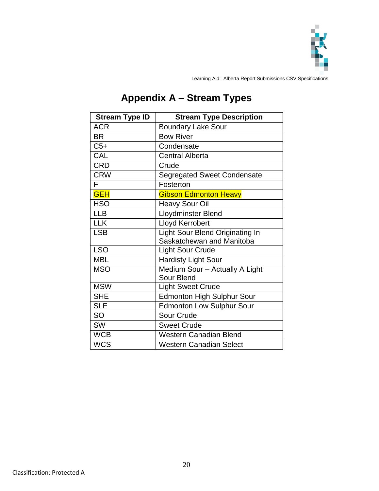

# **Appendix A – Stream Types**

| <b>Stream Type ID</b> | <b>Stream Type Description</b>     |
|-----------------------|------------------------------------|
| <b>ACR</b>            | <b>Boundary Lake Sour</b>          |
| <b>BR</b>             | <b>Bow River</b>                   |
| $C5+$                 | Condensate                         |
| CAL                   | <b>Central Alberta</b>             |
| <b>CRD</b>            | Crude                              |
| <b>CRW</b>            | <b>Segregated Sweet Condensate</b> |
| F                     | Fosterton                          |
| <b>GEH</b>            | <b>Gibson Edmonton Heavy</b>       |
| <b>HSO</b>            | <b>Heavy Sour Oil</b>              |
| <b>LLB</b>            | Lloydminster Blend                 |
| <b>LLK</b>            | <b>Lloyd Kerrobert</b>             |
| <b>LSB</b>            | Light Sour Blend Originating In    |
|                       | Saskatchewan and Manitoba          |
| <b>LSO</b>            | <b>Light Sour Crude</b>            |
| <b>MBL</b>            | <b>Hardisty Light Sour</b>         |
| <b>MSO</b>            | Medium Sour - Actually A Light     |
|                       | Sour Blend                         |
| <b>MSW</b>            | <b>Light Sweet Crude</b>           |
| <b>SHE</b>            | <b>Edmonton High Sulphur Sour</b>  |
| <b>SLE</b>            | <b>Edmonton Low Sulphur Sour</b>   |
| <b>SO</b>             | <b>Sour Crude</b>                  |
| <b>SW</b>             | <b>Sweet Crude</b>                 |
| <b>WCB</b>            | <b>Western Canadian Blend</b>      |
| <b>WCS</b>            | <b>Western Canadian Select</b>     |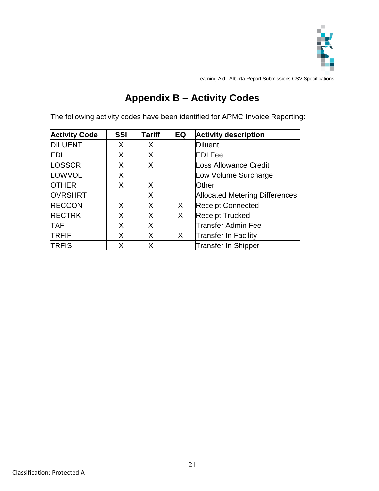

## **Appendix B – Activity Codes**

The following activity codes have been identified for APMC Invoice Reporting:

| <b>Activity Code</b> | <b>SSI</b> | <b>Tariff</b> | EQ      | <b>Activity description</b>           |
|----------------------|------------|---------------|---------|---------------------------------------|
| <b>DILUENT</b>       | X          | X             |         | <b>Diluent</b>                        |
| <b>EDI</b>           | X          | X             |         | <b>EDI Fee</b>                        |
| LOSSCR               | X          | X             |         | <b>Loss Allowance Credit</b>          |
| LOWVOL               | X          |               |         | Low Volume Surcharge                  |
| <b>OTHER</b>         | X          | X             |         | Other                                 |
| <b>OVRSHRT</b>       |            | X             |         | <b>Allocated Metering Differences</b> |
| <b>RECCON</b>        | X          | X             | X.      | <b>Receipt Connected</b>              |
| <b>RECTRK</b>        | X          | X             | X       | <b>Receipt Trucked</b>                |
| <b>TAF</b>           | X          | X             |         | <b>Transfer Admin Fee</b>             |
| <b>TRFIF</b>         | X          | X             | $\sf X$ | <b>Transfer In Facility</b>           |
| <b>TRFIS</b>         |            | X             |         | <b>Transfer In Shipper</b>            |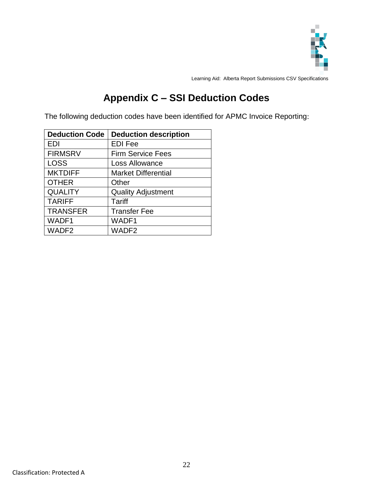

## **Appendix C – SSI Deduction Codes**

The following deduction codes have been identified for APMC Invoice Reporting:

| <b>Deduction Code</b> | <b>Deduction description</b> |
|-----------------------|------------------------------|
| EDI                   | <b>EDI Fee</b>               |
| <b>FIRMSRV</b>        | <b>Firm Service Fees</b>     |
| <b>LOSS</b>           | Loss Allowance               |
| <b>MKTDIFF</b>        | <b>Market Differential</b>   |
| <b>OTHER</b>          | Other                        |
| <b>QUALITY</b>        | <b>Quality Adjustment</b>    |
| <b>TARIFF</b>         | Tariff                       |
| <b>TRANSFER</b>       | <b>Transfer Fee</b>          |
| WADF1                 | WADF1                        |
| WADF <sub>2</sub>     | WADF <sub>2</sub>            |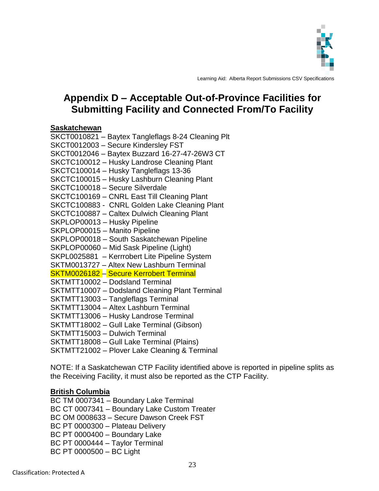

#### **Appendix D – Acceptable Out-of-Province Facilities for Submitting Facility and Connected From/To Facility**

#### **Saskatchewan**

| SKCT0010821 - Baytex Tangleflags 8-24 Cleaning Plt |
|----------------------------------------------------|
| SKCT0012003 - Secure Kindersley FST                |
| SKCT0012046 - Baytex Buzzard 16-27-47-26W3 CT      |
| SKCTC100012 - Husky Landrose Cleaning Plant        |
| SKCTC100014 - Husky Tangleflags 13-36              |
| SKCTC100015 - Husky Lashburn Cleaning Plant        |
| SKCTC100018 - Secure Silverdale                    |
| SKCTC100169 - CNRL East Till Cleaning Plant        |
| SKCTC100883 - CNRL Golden Lake Cleaning Plant      |
| SKCTC100887 - Caltex Dulwich Cleaning Plant        |
| SKPLOP00013 - Husky Pipeline                       |
| SKPLOP00015 - Manito Pipeline                      |
| SKPLOP00018 - South Saskatchewan Pipeline          |
| SKPLOP00060 - Mid Sask Pipeline (Light)            |
| SKPL0025881 - Kerrrobert Lite Pipeline System      |
| SKTM0013727 - Altex New Lashburn Terminal          |
| SKTM0026182 - Secure Kerrobert Terminal            |
| SKTMTT10002 - Dodsland Terminal                    |
| SKTMTT10007 - Dodsland Cleaning Plant Terminal     |
| SKTMTT13003 - Tangleflags Terminal                 |
| SKTMTT13004 - Altex Lashburn Terminal              |
| SKTMTT13006 - Husky Landrose Terminal              |
| SKTMTT18002 - Gull Lake Terminal (Gibson)          |
| SKTMTT15003 - Dulwich Terminal                     |
| SKTMTT18008 - Gull Lake Terminal (Plains)          |
| SKTMTT21002 - Plover Lake Cleaning & Terminal      |

NOTE: If a Saskatchewan CTP Facility identified above is reported in pipeline splits as the Receiving Facility, it must also be reported as the CTP Facility.

#### **British Columbia**

BC TM 0007341 – Boundary Lake Terminal BC CT 0007341 – Boundary Lake Custom Treater BC OM 0008633 – Secure Dawson Creek FST BC PT 0000300 – Plateau Delivery BC PT 0000400 – Boundary Lake BC PT 0000444 – Taylor Terminal BC PT 0000500 – BC Light